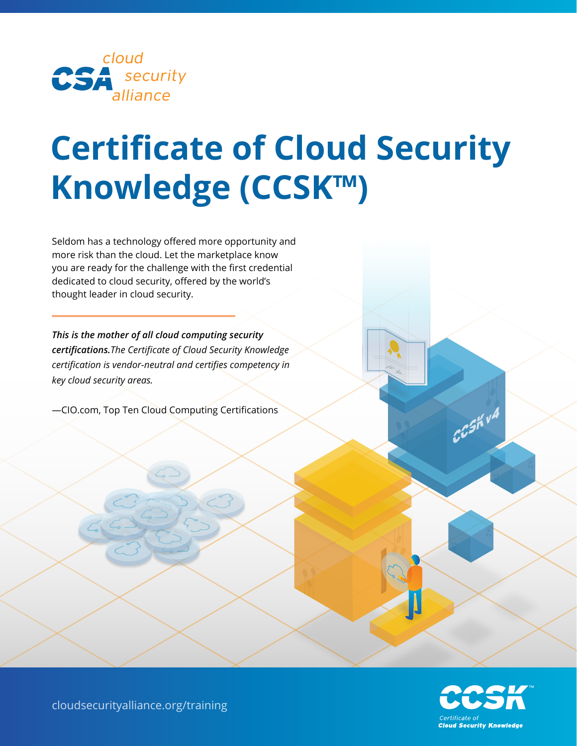

# **Certificate of Cloud Security Knowledge (CCSK™)**

Seldom has a technology offered more opportunity and more risk than the cloud. Let the marketplace know you are ready for the challenge with the first credential dedicated to cloud security, offered by the world's thought leader in cloud security.

*This is the mother of all cloud computing security certifications.The Certificate of Cloud Security Knowledge certification is vendor-neutral and certifies competency in key cloud security areas.*

—CIO.com, Top Ten Cloud Computing Certifications



CCSKVA

cloudsecurityalliance.org/training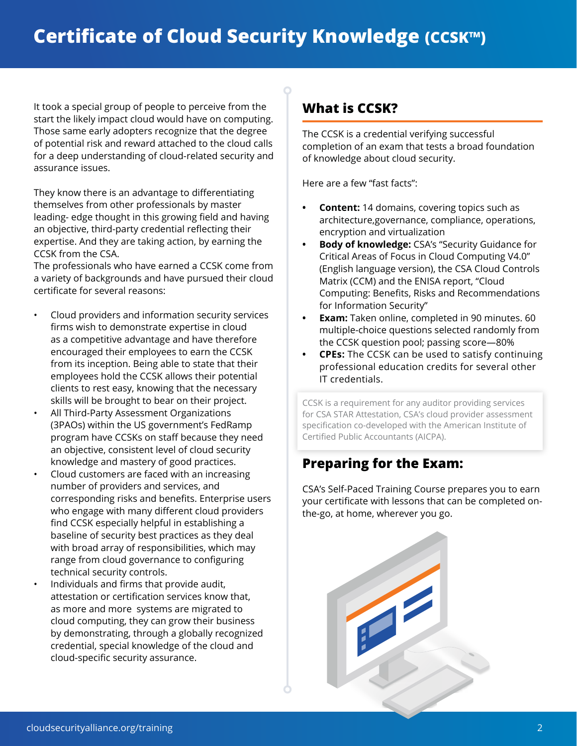## **Certificate of Cloud Security Knowledge (CCSK™)**

It took a special group of people to perceive from the start the likely impact cloud would have on computing. Those same early adopters recognize that the degree of potential risk and reward attached to the cloud calls for a deep understanding of cloud-related security and assurance issues.

They know there is an advantage to differentiating themselves from other professionals by master leading- edge thought in this growing field and having an objective, third-party credential reflecting their expertise. And they are taking action, by earning the CCSK from the CSA.

The professionals who have earned a CCSK come from a variety of backgrounds and have pursued their cloud certificate for several reasons:

- Cloud providers and information security services firms wish to demonstrate expertise in cloud as a competitive advantage and have therefore encouraged their employees to earn the CCSK from its inception. Being able to state that their employees hold the CCSK allows their potential clients to rest easy, knowing that the necessary skills will be brought to bear on their project.
- All Third-Party Assessment Organizations (3PAOs) within the US government's FedRamp program have CCSKs on staff because they need an objective, consistent level of cloud security knowledge and mastery of good practices.
- Cloud customers are faced with an increasing number of providers and services, and corresponding risks and benefits. Enterprise users who engage with many different cloud providers find CCSK especially helpful in establishing a baseline of security best practices as they deal with broad array of responsibilities, which may range from cloud governance to configuring technical security controls.
	- Individuals and firms that provide audit, attestation or certification services know that, as more and more systems are migrated to cloud computing, they can grow their business by demonstrating, through a globally recognized credential, special knowledge of the cloud and cloud-specific security assurance.

## **What is CCSK?**

The CCSK is a credential verifying successful completion of an exam that tests a broad foundation of knowledge about cloud security.

Here are a few "fast facts":

- **Content:** 14 domains, covering topics such as architecture,governance, compliance, operations, encryption and virtualization
- **• Body of knowledge:** CSA's "Security Guidance for Critical Areas of Focus in Cloud Computing V4.0" (English language version), the CSA Cloud Controls Matrix (CCM) and the ENISA report, "Cloud Computing: Benefits, Risks and Recommendations for Information Security"
- **• Exam:** Taken online, completed in 90 minutes. 60 multiple-choice questions selected randomly from the CCSK question pool; passing score—80%
- **• CPEs:** The CCSK can be used to satisfy continuing professional education credits for several other IT credentials.

CCSK is a requirement for any auditor providing services for CSA STAR Attestation, CSA's cloud provider assessment specification co-developed with the American Institute of Certified Public Accountants (AICPA).

## **Preparing for the Exam:**

CSA's Self-Paced Training Course prepares you to earn your certificate with lessons that can be completed onthe-go, at home, wherever you go.

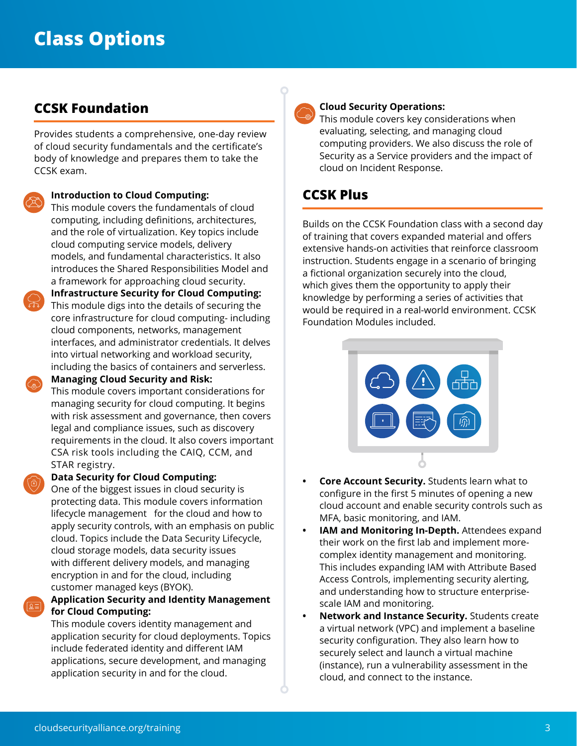## **CCSK Foundation**

Provides students a comprehensive, one-day review of cloud security fundamentals and the certificate's body of knowledge and prepares them to take the CCSK exam.

#### **• Introduction to Cloud Computing:**

This module covers the fundamentals of cloud computing, including definitions, architectures, and the role of virtualization. Key topics include cloud computing service models, delivery models, and fundamental characteristics. It also introduces the Shared Responsibilities Model and a framework for approaching cloud security.

**• Infrastructure Security for Cloud Computing:**  This module digs into the details of securing the core infrastructure for cloud computing- including cloud components, networks, management interfaces, and administrator credentials. It delves into virtual networking and workload security, including the basics of containers and serverless. **• Managing Cloud Security and Risk:** 

This module covers important considerations for managing security for cloud computing. It begins with risk assessment and governance, then covers legal and compliance issues, such as discovery requirements in the cloud. It also covers important CSA risk tools including the CAIQ, CCM, and STAR registry.

#### **• Data Security for Cloud Computing:**

• One of the biggest issues in cloud security is protecting data. This module covers information lifecycle management for the cloud and how to apply security controls, with an emphasis on public cloud. Topics include the Data Security Lifecycle, cloud storage models, data security issues with different delivery models, and managing encryption in and for the cloud, including customer managed keys (BYOK).

#### **• Application Security and Identity Management for Cloud Computing:**

• This module covers identity management and application security for cloud deployments. Topics include federated identity and different IAM applications, secure development, and managing application security in and for the cloud.

#### **• Cloud Security Operations:**

This module covers key considerations when evaluating, selecting, and managing cloud computing providers. We also discuss the role of Security as a Service providers and the impact of cloud on Incident Response.

## **CCSK Plus**

Builds on the CCSK Foundation class with a second day of training that covers expanded material and offers extensive hands-on activities that reinforce classroom instruction. Students engage in a scenario of bringing a fictional organization securely into the cloud, which gives them the opportunity to apply their knowledge by performing a series of activities that would be required in a real-world environment. CCSK Foundation Modules included.



- **• Core Account Security.** Students learn what to configure in the first 5 minutes of opening a new cloud account and enable security controls such as MFA, basic monitoring, and IAM.
- **IAM and Monitoring In-Depth.** Attendees expand their work on the first lab and implement morecomplex identity management and monitoring. This includes expanding IAM with Attribute Based Access Controls, implementing security alerting, and understanding how to structure enterprisescale IAM and monitoring.
- **• Network and Instance Security.** Students create a virtual network (VPC) and implement a baseline security configuration. They also learn how to securely select and launch a virtual machine (instance), run a vulnerability assessment in the cloud, and connect to the instance.